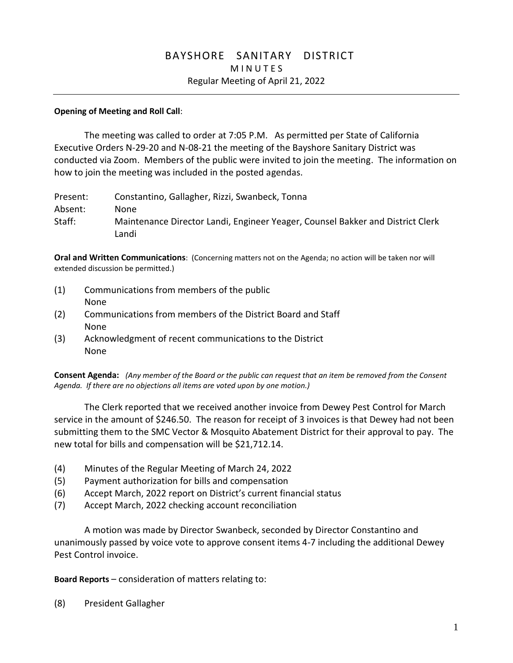# BAYSHORE SANITARY DISTRICT **MINUTES** Regular Meeting of April 21, 2022

#### **Opening of Meeting and Roll Call**:

The meeting was called to order at 7:05 P.M. As permitted per State of California Executive Orders N-29-20 and N-08-21 the meeting of the Bayshore Sanitary District was conducted via Zoom. Members of the public were invited to join the meeting. The information on how to join the meeting was included in the posted agendas.

| Present: | Constantino, Gallagher, Rizzi, Swanbeck, Tonna                                 |
|----------|--------------------------------------------------------------------------------|
| Absent:  | None                                                                           |
| Staff:   | Maintenance Director Landi, Engineer Yeager, Counsel Bakker and District Clerk |
|          | Landi                                                                          |

**Oral and Written Communications**: (Concerning matters not on the Agenda; no action will be taken nor will extended discussion be permitted.)

- (1) Communications from members of the public None
- (2) Communications from members of the District Board and Staff None
- (3) Acknowledgment of recent communications to the District None

**Consent Agenda:** *(Any member of the Board or the public can request that an item be removed from the Consent Agenda. If there are no objections all items are voted upon by one motion.)*

The Clerk reported that we received another invoice from Dewey Pest Control for March service in the amount of \$246.50. The reason for receipt of 3 invoices is that Dewey had not been submitting them to the SMC Vector & Mosquito Abatement District for their approval to pay. The new total for bills and compensation will be \$21,712.14.

- (4) Minutes of the Regular Meeting of March 24, 2022
- (5) Payment authorization for bills and compensation
- (6) Accept March, 2022 report on District's current financial status
- (7) Accept March, 2022 checking account reconciliation

A motion was made by Director Swanbeck, seconded by Director Constantino and unanimously passed by voice vote to approve consent items 4-7 including the additional Dewey Pest Control invoice.

**Board Reports** – consideration of matters relating to:

(8) President Gallagher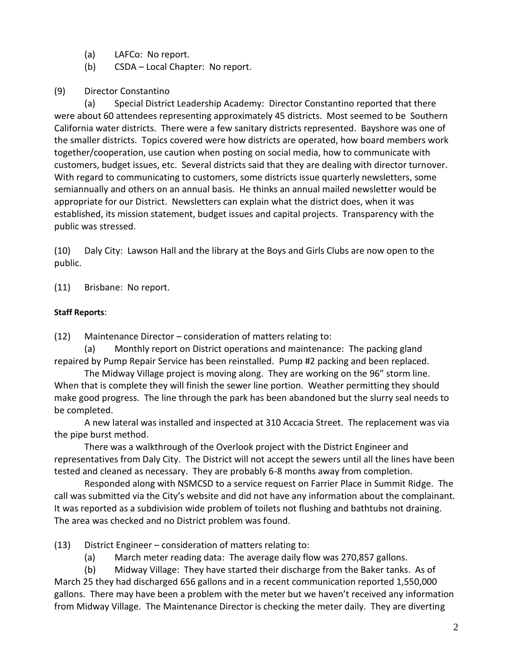- (a) LAFCo: No report.
- (b) CSDA Local Chapter: No report.
- (9) Director Constantino

(a) Special District Leadership Academy: Director Constantino reported that there were about 60 attendees representing approximately 45 districts. Most seemed to be Southern California water districts. There were a few sanitary districts represented. Bayshore was one of the smaller districts. Topics covered were how districts are operated, how board members work together/cooperation, use caution when posting on social media, how to communicate with customers, budget issues, etc. Several districts said that they are dealing with director turnover. With regard to communicating to customers, some districts issue quarterly newsletters, some semiannually and others on an annual basis. He thinks an annual mailed newsletter would be appropriate for our District. Newsletters can explain what the district does, when it was established, its mission statement, budget issues and capital projects. Transparency with the public was stressed.

(10) Daly City: Lawson Hall and the library at the Boys and Girls Clubs are now open to the public.

(11) Brisbane: No report.

### **Staff Reports**:

(12) Maintenance Director – consideration of matters relating to:

(a) Monthly report on District operations and maintenance: The packing gland repaired by Pump Repair Service has been reinstalled. Pump #2 packing and been replaced.

The Midway Village project is moving along. They are working on the 96" storm line. When that is complete they will finish the sewer line portion. Weather permitting they should make good progress. The line through the park has been abandoned but the slurry seal needs to be completed.

A new lateral was installed and inspected at 310 Accacia Street. The replacement was via the pipe burst method.

There was a walkthrough of the Overlook project with the District Engineer and representatives from Daly City. The District will not accept the sewers until all the lines have been tested and cleaned as necessary. They are probably 6-8 months away from completion.

Responded along with NSMCSD to a service request on Farrier Place in Summit Ridge. The call was submitted via the City's website and did not have any information about the complainant. It was reported as a subdivision wide problem of toilets not flushing and bathtubs not draining. The area was checked and no District problem was found.

(13) District Engineer – consideration of matters relating to:

(a) March meter reading data: The average daily flow was 270,857 gallons.

(b) Midway Village: They have started their discharge from the Baker tanks. As of March 25 they had discharged 656 gallons and in a recent communication reported 1,550,000 gallons. There may have been a problem with the meter but we haven't received any information from Midway Village. The Maintenance Director is checking the meter daily. They are diverting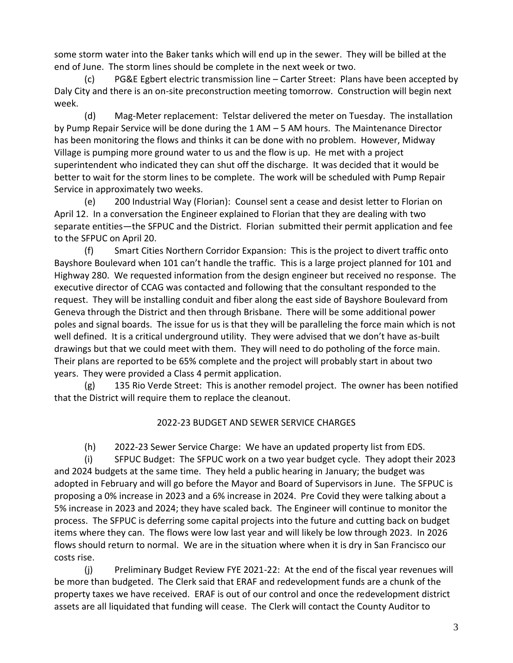some storm water into the Baker tanks which will end up in the sewer. They will be billed at the end of June. The storm lines should be complete in the next week or two.

(c) PG&E Egbert electric transmission line – Carter Street: Plans have been accepted by Daly City and there is an on-site preconstruction meeting tomorrow. Construction will begin next week.

(d) Mag-Meter replacement: Telstar delivered the meter on Tuesday. The installation by Pump Repair Service will be done during the 1 AM – 5 AM hours. The Maintenance Director has been monitoring the flows and thinks it can be done with no problem. However, Midway Village is pumping more ground water to us and the flow is up. He met with a project superintendent who indicated they can shut off the discharge. It was decided that it would be better to wait for the storm lines to be complete. The work will be scheduled with Pump Repair Service in approximately two weeks.

(e) 200 Industrial Way (Florian): Counsel sent a cease and desist letter to Florian on April 12. In a conversation the Engineer explained to Florian that they are dealing with two separate entities—the SFPUC and the District. Florian submitted their permit application and fee to the SFPUC on April 20.

(f) Smart Cities Northern Corridor Expansion: This is the project to divert traffic onto Bayshore Boulevard when 101 can't handle the traffic. This is a large project planned for 101 and Highway 280. We requested information from the design engineer but received no response. The executive director of CCAG was contacted and following that the consultant responded to the request. They will be installing conduit and fiber along the east side of Bayshore Boulevard from Geneva through the District and then through Brisbane. There will be some additional power poles and signal boards. The issue for us is that they will be paralleling the force main which is not well defined. It is a critical underground utility. They were advised that we don't have as-built drawings but that we could meet with them. They will need to do potholing of the force main. Their plans are reported to be 65% complete and the project will probably start in about two years. They were provided a Class 4 permit application.

(g) 135 Rio Verde Street: This is another remodel project. The owner has been notified that the District will require them to replace the cleanout.

### 2022-23 BUDGET AND SEWER SERVICE CHARGES

(h) 2022-23 Sewer Service Charge: We have an updated property list from EDS.

(i) SFPUC Budget: The SFPUC work on a two year budget cycle. They adopt their 2023 and 2024 budgets at the same time. They held a public hearing in January; the budget was adopted in February and will go before the Mayor and Board of Supervisors in June. The SFPUC is proposing a 0% increase in 2023 and a 6% increase in 2024. Pre Covid they were talking about a 5% increase in 2023 and 2024; they have scaled back. The Engineer will continue to monitor the process. The SFPUC is deferring some capital projects into the future and cutting back on budget items where they can. The flows were low last year and will likely be low through 2023. In 2026 flows should return to normal. We are in the situation where when it is dry in San Francisco our costs rise.

(j) Preliminary Budget Review FYE 2021-22: At the end of the fiscal year revenues will be more than budgeted. The Clerk said that ERAF and redevelopment funds are a chunk of the property taxes we have received. ERAF is out of our control and once the redevelopment district assets are all liquidated that funding will cease. The Clerk will contact the County Auditor to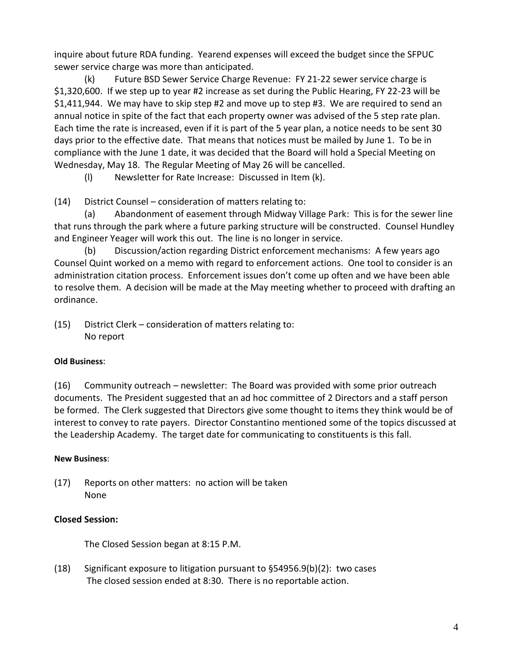inquire about future RDA funding. Yearend expenses will exceed the budget since the SFPUC sewer service charge was more than anticipated.

(k) Future BSD Sewer Service Charge Revenue: FY 21-22 sewer service charge is \$1,320,600. If we step up to year #2 increase as set during the Public Hearing, FY 22-23 will be \$1,411,944. We may have to skip step #2 and move up to step #3. We are required to send an annual notice in spite of the fact that each property owner was advised of the 5 step rate plan. Each time the rate is increased, even if it is part of the 5 year plan, a notice needs to be sent 30 days prior to the effective date. That means that notices must be mailed by June 1. To be in compliance with the June 1 date, it was decided that the Board will hold a Special Meeting on Wednesday, May 18. The Regular Meeting of May 26 will be cancelled.

(l) Newsletter for Rate Increase: Discussed in Item (k).

(14) District Counsel – consideration of matters relating to:

(a) Abandonment of easement through Midway Village Park: This is for the sewer line that runs through the park where a future parking structure will be constructed. Counsel Hundley and Engineer Yeager will work this out. The line is no longer in service.

(b) Discussion/action regarding District enforcement mechanisms: A few years ago Counsel Quint worked on a memo with regard to enforcement actions. One tool to consider is an administration citation process. Enforcement issues don't come up often and we have been able to resolve them. A decision will be made at the May meeting whether to proceed with drafting an ordinance.

(15) District Clerk – consideration of matters relating to: No report

### **Old Business**:

(16) Community outreach – newsletter: The Board was provided with some prior outreach documents. The President suggested that an ad hoc committee of 2 Directors and a staff person be formed. The Clerk suggested that Directors give some thought to items they think would be of interest to convey to rate payers. Director Constantino mentioned some of the topics discussed at the Leadership Academy. The target date for communicating to constituents is this fall.

### **New Business**:

(17) Reports on other matters: no action will be taken None

### **Closed Session:**

The Closed Session began at 8:15 P.M.

(18) Significant exposure to litigation pursuant to §54956.9(b)(2): two cases The closed session ended at 8:30. There is no reportable action.